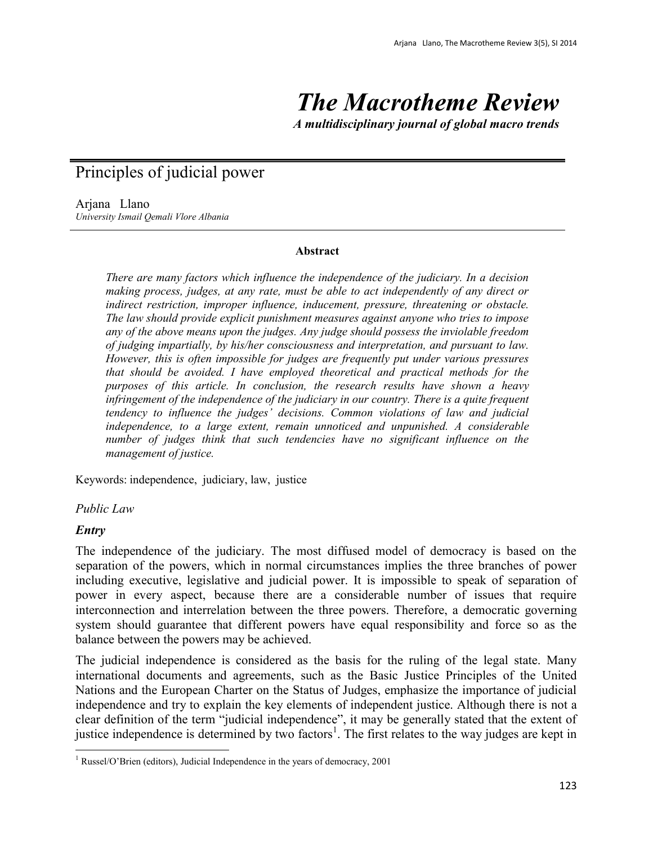# *The Macrotheme Review*

*A multidisciplinary journal of global macro trends*

# Principles of judicial power

Arjana Llano *University Ismail Qemali Vlore Albania*

#### **Abstract**

*There are many factors which influence the independence of the judiciary. In a decision making process, judges, at any rate, must be able to act independently of any direct or indirect restriction, improper influence, inducement, pressure, threatening or obstacle. The law should provide explicit punishment measures against anyone who tries to impose any of the above means upon the judges. Any judge should possess the inviolable freedom of judging impartially, by his/her consciousness and interpretation, and pursuant to law. However, this is often impossible for judges are frequently put under various pressures that should be avoided. I have employed theoretical and practical methods for the purposes of this article. In conclusion, the research results have shown a heavy infringement of the independence of the judiciary in our country. There is a quite frequent tendency to influence the judges' decisions. Common violations of law and judicial independence, to a large extent, remain unnoticed and unpunished. A considerable number of judges think that such tendencies have no significant influence on the management of justice.*

Keywords: independence, judiciary, law, justice

#### *Public Law*

#### *Entry*

The independence of the judiciary. The most diffused model of democracy is based on the separation of the powers, which in normal circumstances implies the three branches of power including executive, legislative and judicial power. It is impossible to speak of separation of power in every aspect, because there are a considerable number of issues that require interconnection and interrelation between the three powers. Therefore, a democratic governing system should guarantee that different powers have equal responsibility and force so as the balance between the powers may be achieved.

The judicial independence is considered as the basis for the ruling of the legal state. Many international documents and agreements, such as the Basic Justice Principles of the United Nations and the European Charter on the Status of Judges, emphasize the importance of judicial independence and try to explain the key elements of independent justice. Although there is not a clear definition of the term "judicial independence", it may be generally stated that the extent of justice independence is determined by two factors<sup>1</sup>. The first relates to the way judges are kept in

 $\ddot{\phantom{a}}$ <sup>1</sup> Russel/O'Brien (editors), Judicial Independence in the years of democracy, 2001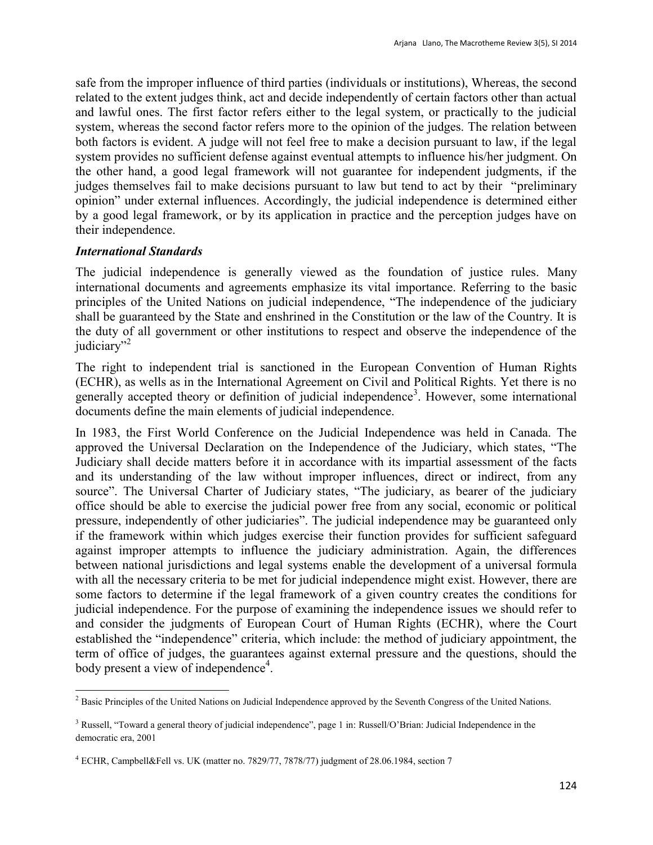safe from the improper influence of third parties (individuals or institutions), Whereas, the second related to the extent judges think, act and decide independently of certain factors other than actual and lawful ones. The first factor refers either to the legal system, or practically to the judicial system, whereas the second factor refers more to the opinion of the judges. The relation between both factors is evident. A judge will not feel free to make a decision pursuant to law, if the legal system provides no sufficient defense against eventual attempts to influence his/her judgment. On the other hand, a good legal framework will not guarantee for independent judgments, if the judges themselves fail to make decisions pursuant to law but tend to act by their "preliminary opinion" under external influences. Accordingly, the judicial independence is determined either by a good legal framework, or by its application in practice and the perception judges have on their independence.

#### *International Standards*

The judicial independence is generally viewed as the foundation of justice rules. Many international documents and agreements emphasize its vital importance. Referring to the basic principles of the United Nations on judicial independence, "The independence of the judiciary shall be guaranteed by the State and enshrined in the Constitution or the law of the Country. It is the duty of all government or other institutions to respect and observe the independence of the judiciary"<sup>2</sup>

The right to independent trial is sanctioned in the European Convention of Human Rights (ECHR), as wells as in the International Agreement on Civil and Political Rights. Yet there is no generally accepted theory or definition of judicial independence<sup>3</sup>. However, some international documents define the main elements of judicial independence.

In 1983, the First World Conference on the Judicial Independence was held in Canada. The approved the Universal Declaration on the Independence of the Judiciary, which states, "The Judiciary shall decide matters before it in accordance with its impartial assessment of the facts and its understanding of the law without improper influences, direct or indirect, from any source". The Universal Charter of Judiciary states, "The judiciary, as bearer of the judiciary office should be able to exercise the judicial power free from any social, economic or political pressure, independently of other judiciaries". The judicial independence may be guaranteed only if the framework within which judges exercise their function provides for sufficient safeguard against improper attempts to influence the judiciary administration. Again, the differences between national jurisdictions and legal systems enable the development of a universal formula with all the necessary criteria to be met for judicial independence might exist. However, there are some factors to determine if the legal framework of a given country creates the conditions for judicial independence. For the purpose of examining the independence issues we should refer to and consider the judgments of European Court of Human Rights (ECHR), where the Court established the "independence" criteria, which include: the method of judiciary appointment, the term of office of judges, the guarantees against external pressure and the questions, should the body present a view of independence<sup>4</sup>.

 $\ddot{\phantom{a}}$ <sup>2</sup> Basic Principles of the United Nations on Judicial Independence approved by the Seventh Congress of the United Nations.

<sup>&</sup>lt;sup>3</sup> Russell, "Toward a general theory of judicial independence", page 1 in: Russell/O'Brian: Judicial Independence in the democratic era, 2001

<sup>4</sup> ECHR, Campbell&Fell vs. UK (matter no. 7829/77, 7878/77) judgment of 28.06.1984, section 7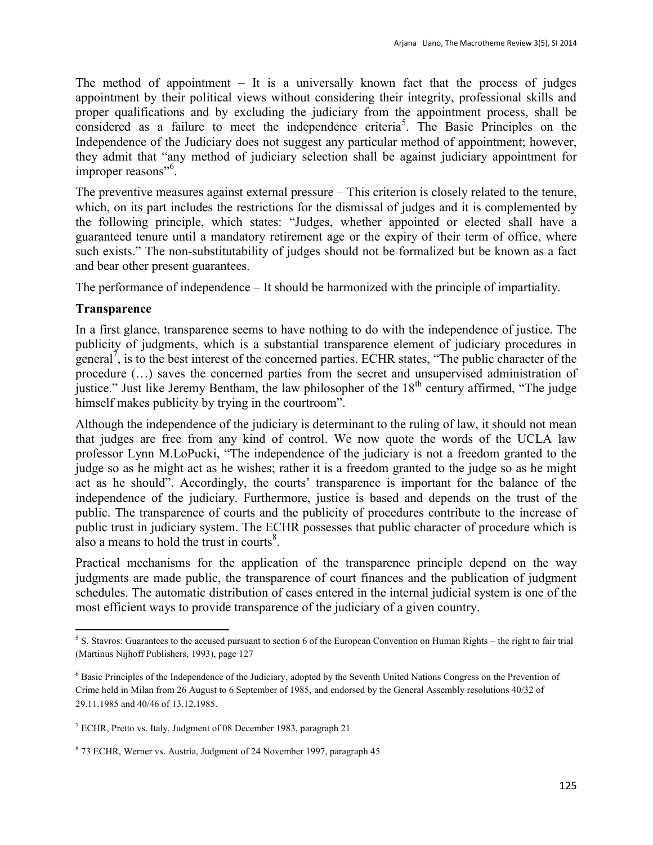The method of appointment  $-$  It is a universally known fact that the process of judges appointment by their political views without considering their integrity, professional skills and proper qualifications and by excluding the judiciary from the appointment process, shall be considered as a failure to meet the independence criteria<sup>5</sup>. The Basic Principles on the Independence of the Judiciary does not suggest any particular method of appointment; however, they admit that "any method of judiciary selection shall be against judiciary appointment for improper reasons"<sup>6</sup>.

The preventive measures against external pressure – This criterion is closely related to the tenure, which, on its part includes the restrictions for the dismissal of judges and it is complemented by the following principle, which states: "Judges, whether appointed or elected shall have a guaranteed tenure until a mandatory retirement age or the expiry of their term of office, where such exists." The non-substitutability of judges should not be formalized but be known as a fact and bear other present guarantees.

The performance of independence – It should be harmonized with the principle of impartiality.

### **Transparence**

In a first glance, transparence seems to have nothing to do with the independence of justice. The publicity of judgments, which is a substantial transparence element of judiciary procedures in general<sup> $\bar{7}$ </sup>, is to the best interest of the concerned parties. ECHR states, "The public character of the procedure (…) saves the concerned parties from the secret and unsupervised administration of justice." Just like Jeremy Bentham, the law philosopher of the 18<sup>th</sup> century affirmed. "The judge himself makes publicity by trying in the courtroom".

Although the independence of the judiciary is determinant to the ruling of law, it should not mean that judges are free from any kind of control. We now quote the words of the UCLA law professor Lynn M.LoPucki, "The independence of the judiciary is not a freedom granted to the judge so as he might act as he wishes; rather it is a freedom granted to the judge so as he might act as he should". Accordingly, the courts' transparence is important for the balance of the independence of the judiciary. Furthermore, justice is based and depends on the trust of the public. The transparence of courts and the publicity of procedures contribute to the increase of public trust in judiciary system. The ECHR possesses that public character of procedure which is also a means to hold the trust in courts $\delta$ .

Practical mechanisms for the application of the transparence principle depend on the way judgments are made public, the transparence of court finances and the publication of judgment schedules. The automatic distribution of cases entered in the internal judicial system is one of the most efficient ways to provide transparence of the judiciary of a given country.

<sup>&</sup>lt;sup>5</sup> S. Stavros: Guarantees to the accused pursuant to section 6 of the European Convention on Human Rights – the right to fair trial (Martinus Nijhoff Publishers, 1993), page 127

<sup>6</sup> Basic Principles of the Independence of the Judiciary, adopted by the Seventh United Nations Congress on the Prevention of Crime held in Milan from 26 August to 6 September of 1985, and endorsed by the General Assembly resolutions 40/32 of 29.11.1985 and 40/46 of 13.12.1985.

<sup>7</sup> ECHR, Pretto vs. Italy, Judgment of 08 December 1983, paragraph 21

<sup>&</sup>lt;sup>8</sup> 73 ECHR, Werner vs. Austria, Judgment of 24 November 1997, paragraph 45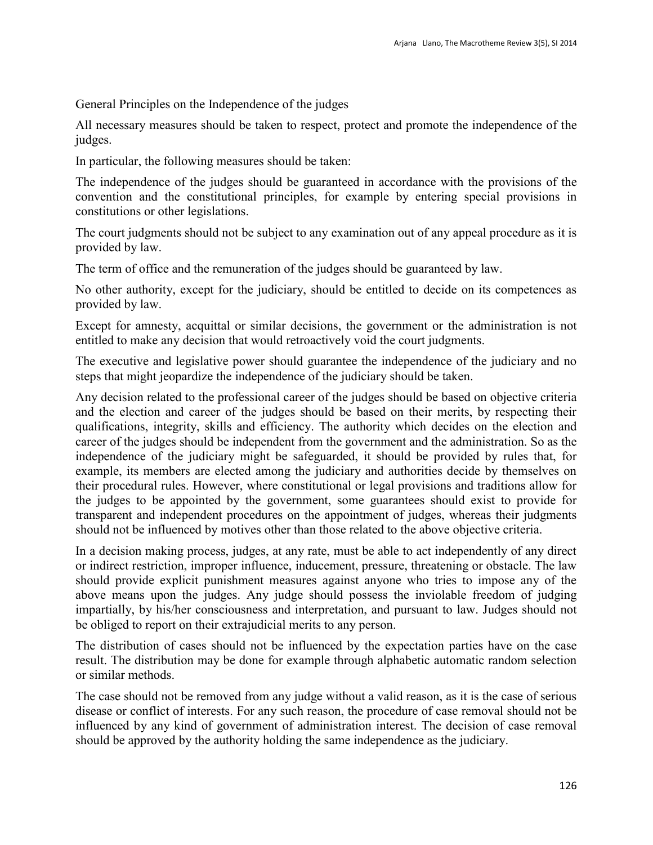General Principles on the Independence of the judges

All necessary measures should be taken to respect, protect and promote the independence of the judges.

In particular, the following measures should be taken:

The independence of the judges should be guaranteed in accordance with the provisions of the convention and the constitutional principles, for example by entering special provisions in constitutions or other legislations.

The court judgments should not be subject to any examination out of any appeal procedure as it is provided by law.

The term of office and the remuneration of the judges should be guaranteed by law.

No other authority, except for the judiciary, should be entitled to decide on its competences as provided by law.

Except for amnesty, acquittal or similar decisions, the government or the administration is not entitled to make any decision that would retroactively void the court judgments.

The executive and legislative power should guarantee the independence of the judiciary and no steps that might jeopardize the independence of the judiciary should be taken.

Any decision related to the professional career of the judges should be based on objective criteria and the election and career of the judges should be based on their merits, by respecting their qualifications, integrity, skills and efficiency. The authority which decides on the election and career of the judges should be independent from the government and the administration. So as the independence of the judiciary might be safeguarded, it should be provided by rules that, for example, its members are elected among the judiciary and authorities decide by themselves on their procedural rules. However, where constitutional or legal provisions and traditions allow for the judges to be appointed by the government, some guarantees should exist to provide for transparent and independent procedures on the appointment of judges, whereas their judgments should not be influenced by motives other than those related to the above objective criteria.

In a decision making process, judges, at any rate, must be able to act independently of any direct or indirect restriction, improper influence, inducement, pressure, threatening or obstacle. The law should provide explicit punishment measures against anyone who tries to impose any of the above means upon the judges. Any judge should possess the inviolable freedom of judging impartially, by his/her consciousness and interpretation, and pursuant to law. Judges should not be obliged to report on their extrajudicial merits to any person.

The distribution of cases should not be influenced by the expectation parties have on the case result. The distribution may be done for example through alphabetic automatic random selection or similar methods.

The case should not be removed from any judge without a valid reason, as it is the case of serious disease or conflict of interests. For any such reason, the procedure of case removal should not be influenced by any kind of government of administration interest. The decision of case removal should be approved by the authority holding the same independence as the judiciary.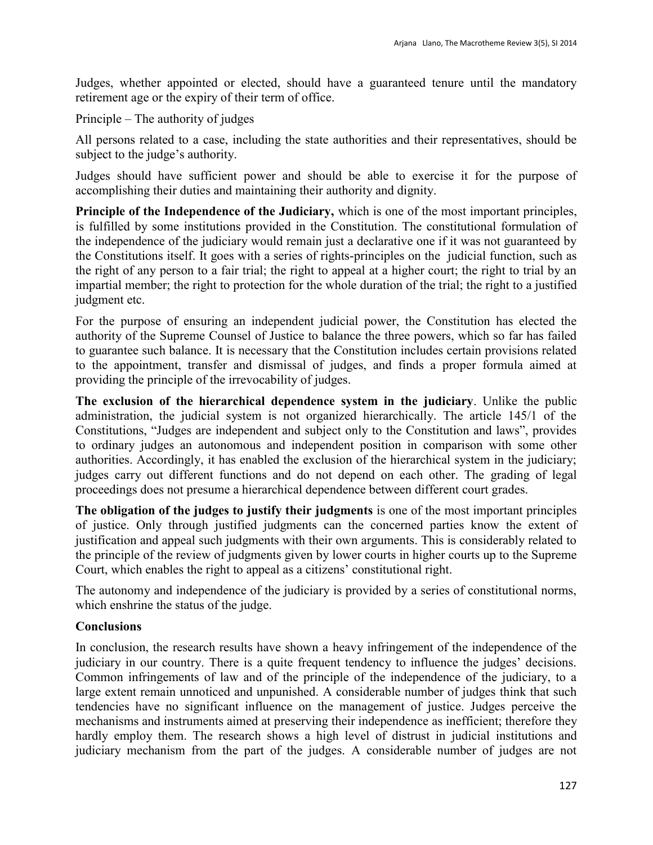Judges, whether appointed or elected, should have a guaranteed tenure until the mandatory retirement age or the expiry of their term of office.

Principle – The authority of judges

All persons related to a case, including the state authorities and their representatives, should be subject to the judge's authority.

Judges should have sufficient power and should be able to exercise it for the purpose of accomplishing their duties and maintaining their authority and dignity.

**Principle of the Independence of the Judiciary,** which is one of the most important principles, is fulfilled by some institutions provided in the Constitution. The constitutional formulation of the independence of the judiciary would remain just a declarative one if it was not guaranteed by the Constitutions itself. It goes with a series of rights-principles on the judicial function, such as the right of any person to a fair trial; the right to appeal at a higher court; the right to trial by an impartial member; the right to protection for the whole duration of the trial; the right to a justified judgment etc.

For the purpose of ensuring an independent judicial power, the Constitution has elected the authority of the Supreme Counsel of Justice to balance the three powers, which so far has failed to guarantee such balance. It is necessary that the Constitution includes certain provisions related to the appointment, transfer and dismissal of judges, and finds a proper formula aimed at providing the principle of the irrevocability of judges.

**The exclusion of the hierarchical dependence system in the judiciary**. Unlike the public administration, the judicial system is not organized hierarchically. The article 145/1 of the Constitutions, "Judges are independent and subject only to the Constitution and laws", provides to ordinary judges an autonomous and independent position in comparison with some other authorities. Accordingly, it has enabled the exclusion of the hierarchical system in the judiciary; judges carry out different functions and do not depend on each other. The grading of legal proceedings does not presume a hierarchical dependence between different court grades.

**The obligation of the judges to justify their judgments** is one of the most important principles of justice. Only through justified judgments can the concerned parties know the extent of justification and appeal such judgments with their own arguments. This is considerably related to the principle of the review of judgments given by lower courts in higher courts up to the Supreme Court, which enables the right to appeal as a citizens' constitutional right.

The autonomy and independence of the judiciary is provided by a series of constitutional norms, which enshrine the status of the judge.

## **Conclusions**

In conclusion, the research results have shown a heavy infringement of the independence of the judiciary in our country. There is a quite frequent tendency to influence the judges' decisions. Common infringements of law and of the principle of the independence of the judiciary, to a large extent remain unnoticed and unpunished. A considerable number of judges think that such tendencies have no significant influence on the management of justice. Judges perceive the mechanisms and instruments aimed at preserving their independence as inefficient; therefore they hardly employ them. The research shows a high level of distrust in judicial institutions and judiciary mechanism from the part of the judges. A considerable number of judges are not